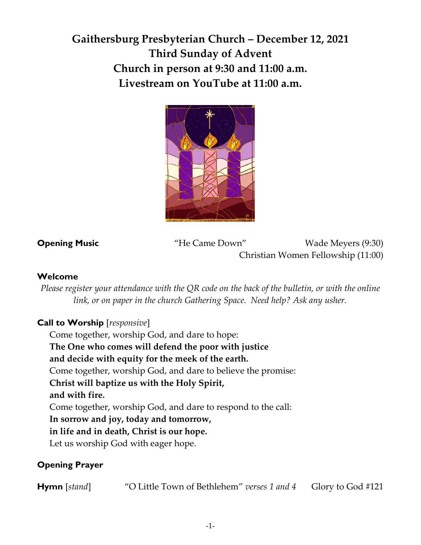# **Gaithersburg Presbyterian Church – December 12, 2021 Third Sunday of Advent Church in person at 9:30 and 11:00 a.m. Livestream on YouTube at 11:00 a.m.**



**Opening Music** "He Came Down" Wade Meyers (9:30) Christian Women Fellowship (11:00)

#### **Welcome**

*Please register your attendance with the QR code on the back of the bulletin, or with the online link, or on paper in the church Gathering Space. Need help? Ask any usher.*

## **Call to Worship** [*responsive*]

Come together, worship God, and dare to hope: **The One who comes will defend the poor with justice and decide with equity for the meek of the earth.**  Come together, worship God, and dare to believe the promise: **Christ will baptize us with the Holy Spirit, and with fire.**  Come together, worship God, and dare to respond to the call: **In sorrow and joy, today and tomorrow, in life and in death, Christ is our hope.** Let us worship God with eager hope.

### **Opening Prayer**

**Hymn** [*stand*] "O Little Town of Bethlehem" *verses 1 and 4* Glory to God #121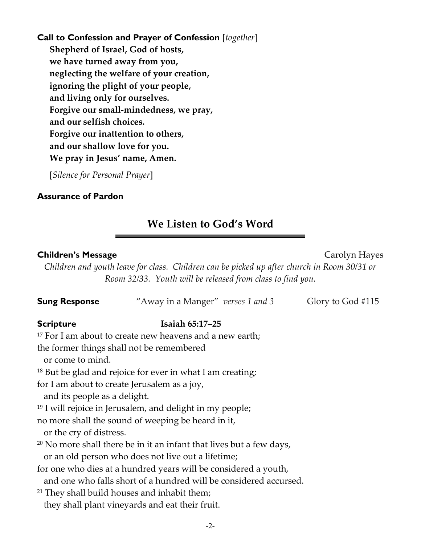## **Call to Confession and Prayer of Confession** [*together*] **Shepherd of Israel, God of hosts, we have turned away from you, neglecting the welfare of your creation, ignoring the plight of your people, and living only for ourselves. Forgive our small-mindedness, we pray, and our selfish choices. Forgive our inattention to others, and our shallow love for you. We pray in Jesus' name, Amen.**

[*Silence for Personal Prayer*]

#### **Assurance of Pardon**

# **We Listen to God's Word**

#### **Children's Message Carolyn Hayes Carolyn Hayes**

*Children and youth leave for class. Children can be picked up after church in Room 30/31 or Room 32/33. Youth will be released from class to find you.* 

| <b>Sung Response</b>                                                         | "Away in a Manger" verses 1 and 3                                                                                                    | Glory to God #115 |
|------------------------------------------------------------------------------|--------------------------------------------------------------------------------------------------------------------------------------|-------------------|
| <b>Scripture</b>                                                             | Isaiah 65:17-25                                                                                                                      |                   |
|                                                                              | <sup>17</sup> For I am about to create new heavens and a new earth;                                                                  |                   |
| or come to mind.                                                             | the former things shall not be remembered                                                                                            |                   |
|                                                                              | <sup>18</sup> But be glad and rejoice for ever in what I am creating;                                                                |                   |
| for I am about to create Jerusalem as a joy,<br>and its people as a delight. |                                                                                                                                      |                   |
|                                                                              | <sup>19</sup> I will rejoice in Jerusalem, and delight in my people;                                                                 |                   |
| or the cry of distress.                                                      | no more shall the sound of weeping be heard in it,                                                                                   |                   |
|                                                                              | <sup>20</sup> No more shall there be in it an infant that lives but a few days,                                                      |                   |
|                                                                              | or an old person who does not live out a lifetime;                                                                                   |                   |
|                                                                              | for one who dies at a hundred years will be considered a youth,<br>and one who falls short of a hundred will be considered accursed. |                   |
|                                                                              | <sup>21</sup> They shall build houses and inhabit them;                                                                              |                   |
|                                                                              | they shall plant vineyards and eat their fruit.                                                                                      |                   |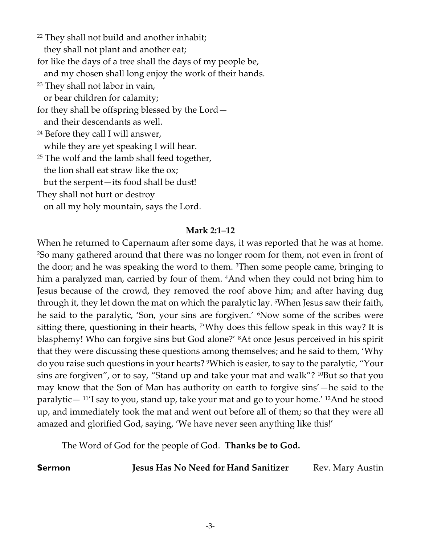<sup>22</sup> They shall not build and another inhabit; they shall not plant and another eat; for like the days of a tree shall the days of my people be, and my chosen shall long enjoy the work of their hands. <sup>23</sup> They shall not labor in vain, or bear children for calamity; for they shall be offspring blessed by the Lord and their descendants as well. <sup>24</sup> Before they call I will answer, while they are yet speaking I will hear. <sup>25</sup> The wolf and the lamb shall feed together, the lion shall eat straw like the ox; but the serpent—its food shall be dust! They shall not hurt or destroy

on all my holy mountain, says the Lord.

#### **Mark 2:1–12**

When he returned to Capernaum after some days, it was reported that he was at home. <sup>2</sup>So many gathered around that there was no longer room for them, not even in front of the door; and he was speaking the word to them. 3Then some people came, bringing to him a paralyzed man, carried by four of them. <sup>4</sup>And when they could not bring him to Jesus because of the crowd, they removed the roof above him; and after having dug through it, they let down the mat on which the paralytic lay. 5When Jesus saw their faith, he said to the paralytic, 'Son, your sins are forgiven.' <sup>6</sup>Now some of the scribes were sitting there, questioning in their hearts, <sup>7</sup>'Why does this fellow speak in this way? It is blasphemy! Who can forgive sins but God alone?' 8At once Jesus perceived in his spirit that they were discussing these questions among themselves; and he said to them, 'Why do you raise such questions in your hearts? 9Which is easier, to say to the paralytic, "Your sins are forgiven", or to say, "Stand up and take your mat and walk"? <sup>10</sup>But so that you may know that the Son of Man has authority on earth to forgive sins'—he said to the paralytic—  $11'$ I say to you, stand up, take your mat and go to your home.<sup>' 12</sup>And he stood up, and immediately took the mat and went out before all of them; so that they were all amazed and glorified God, saying, 'We have never seen anything like this!'

The Word of God for the people of God. **Thanks be to God.**

**Sermon** *Jesus Has No Need for Hand Sanitizer* Rev. Mary Austin